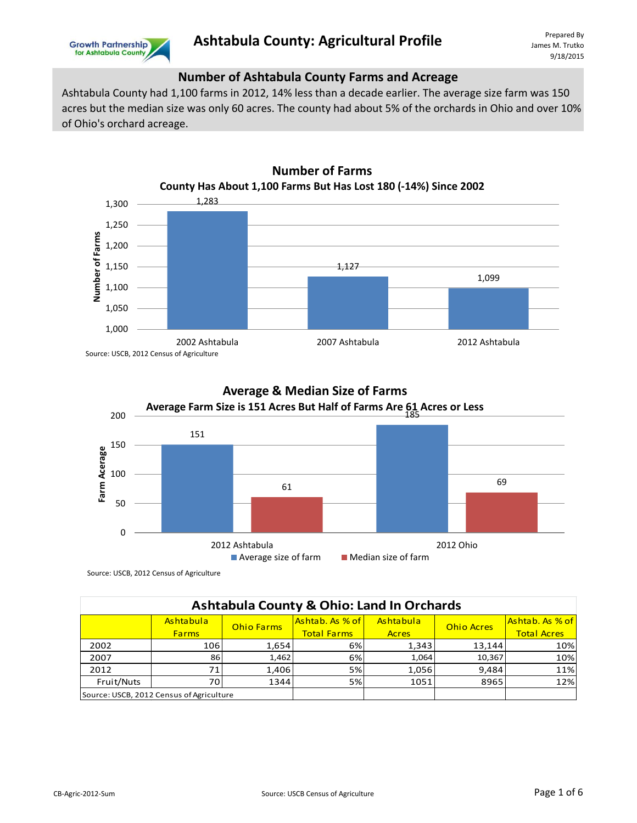

## **Number of Ashtabula County Farms and Acreage**

Ashtabula County had 1,100 farms in 2012, 14% less than a decade earlier. The average size farm was 150 acres but the median size was only 60 acres. The county had about 5% of the orchards in Ohio and over 10% of Ohio's orchard acreage.







| <b>Ashtabula County &amp; Ohio: Land In Orchards</b> |                                          |                   |                    |              |                   |                    |  |
|------------------------------------------------------|------------------------------------------|-------------------|--------------------|--------------|-------------------|--------------------|--|
|                                                      | Ashtabula                                | <b>Ohio Farms</b> | Ashtab. As % of    | Ashtabula    | <b>Ohio Acres</b> | Ashtab. As % of    |  |
|                                                      | <b>Farms</b>                             |                   | <b>Total Farms</b> | <b>Acres</b> |                   | <b>Total Acres</b> |  |
| 2002                                                 | 106                                      | 1,654             | 6%                 | 1,343        | 13,144            | 10%                |  |
| 2007                                                 | 86                                       | 1,462             | 6%                 | 1.064        | 10,367            | 10%                |  |
| 2012                                                 | 71.                                      | 1,406             | 5%                 | 1,056        | 9,484             | 11%                |  |
| Fruit/Nuts                                           | 70I                                      | 1344              | 5%                 | 1051         | 8965              | 12%                |  |
|                                                      | Source: USCB, 2012 Census of Agriculture |                   |                    |              |                   |                    |  |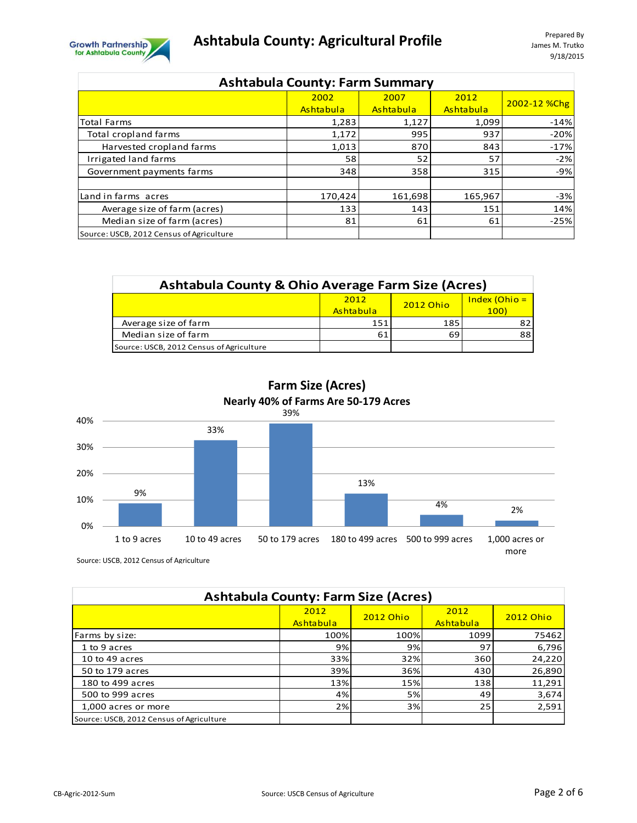



| <b>Ashtabula County: Farm Summary</b>    |           |           |           |              |  |  |
|------------------------------------------|-----------|-----------|-----------|--------------|--|--|
|                                          | 2002      | 2007      | 2012      | 2002-12 %Chg |  |  |
|                                          | Ashtabula | Ashtabula | Ashtabula |              |  |  |
| <b>Total Farms</b>                       | 1,283     | 1,127     | 1,099     | $-14%$       |  |  |
| Total cropland farms                     | 1,172     | 995       | 937       | $-20%$       |  |  |
| Harvested cropland farms                 | 1,013     | 870       | 843       | $-17%$       |  |  |
| Irrigated land farms                     | 58        | 52        | 57        | $-2%$        |  |  |
| Government payments farms                | 348       | 358       | 315       | $-9%$        |  |  |
|                                          |           |           |           |              |  |  |
| Land in farms acres                      | 170,424   | 161,698   | 165,967   | $-3%$        |  |  |
| Average size of farm (acres)             | 133       | 143       | 151       | 14%          |  |  |
| Median size of farm (acres)              | 81        | 61        | 61        | $-25%$       |  |  |
| Source: USCB, 2012 Census of Agriculture |           |           |           |              |  |  |

| <b>Ashtabula County &amp; Ohio Average Farm Size (Acres)</b> |     |     |    |  |  |  |  |
|--------------------------------------------------------------|-----|-----|----|--|--|--|--|
| $Index (Ohio =$<br>2012<br>2012 Ohio<br>Ashtabula<br>100)    |     |     |    |  |  |  |  |
| Average size of farm                                         | 151 | 185 | 82 |  |  |  |  |
| Median size of farm                                          | 61  | 69  | 88 |  |  |  |  |
| Source: USCB, 2012 Census of Agriculture                     |     |     |    |  |  |  |  |

**Farm Size (Acres) Nearly 40% of Farms Are 50-179 Acres**



| <b>Ashtabula County: Farm Size (Acres)</b> |                   |                  |                   |                  |  |  |
|--------------------------------------------|-------------------|------------------|-------------------|------------------|--|--|
|                                            | 2012<br>Ashtabula | <b>2012 Ohio</b> | 2012<br>Ashtabula | <b>2012 Ohio</b> |  |  |
| Farms by size:                             | 100%l             | 100%             | 1099              | 75462            |  |  |
| 1 to 9 acres                               | 9%                | 9%               | 97                | 6,796            |  |  |
| 10 to 49 acres                             | 33%               | 32%              | 360               | 24,220           |  |  |
| 50 to 179 acres                            | 39%               | 36%              | 430               | 26,890           |  |  |
| 180 to 499 acres                           | 13%               | 15%              | 138               | 11,291           |  |  |
| 500 to 999 acres                           | 4%                | 5%               | 49                | 3,674            |  |  |
| 1,000 acres or more                        | 2%                | 3%               | 25                | 2,591            |  |  |
| Source: USCB, 2012 Census of Agriculture   |                   |                  |                   |                  |  |  |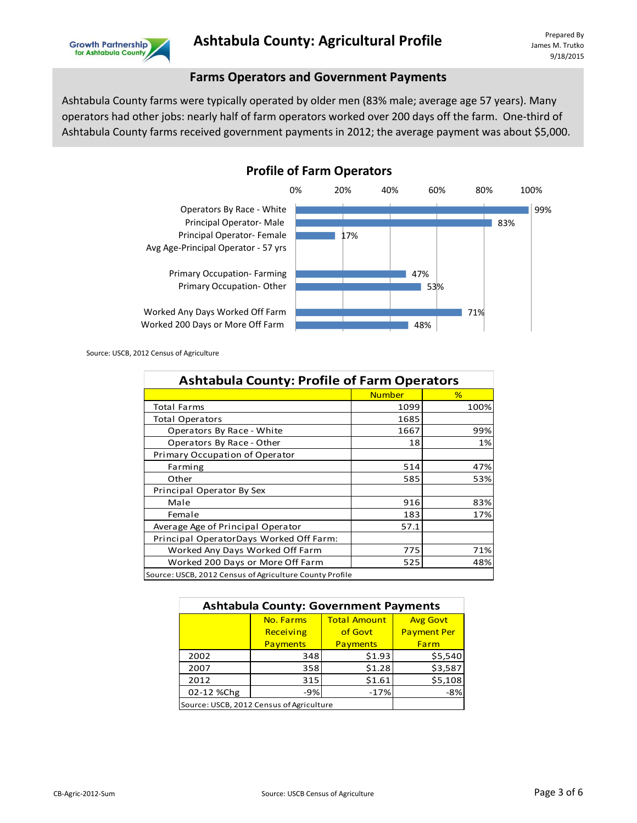

## **Farms Operators and Government Payments**

Ashtabula County farms were typically operated by older men (83% male; average age 57 years). Many operators had other jobs: nearly half of farm operators worked over 200 days off the farm. One-third of Ashtabula County farms received government payments in 2012; the average payment was about \$5,000.



**Profile of Farm Operators**

| <b>Ashtabula County: Profile of Farm Operators</b>      |               |      |  |  |  |
|---------------------------------------------------------|---------------|------|--|--|--|
|                                                         | <b>Number</b> | %    |  |  |  |
| <b>Total Farms</b>                                      | 1099          | 100% |  |  |  |
| <b>Total Operators</b>                                  | 1685          |      |  |  |  |
| Operators By Race - White                               | 1667          | 99%  |  |  |  |
| Operators By Race - Other                               | 18            | 1%   |  |  |  |
| Primary Occupation of Operator                          |               |      |  |  |  |
| Farming                                                 | 514           | 47%  |  |  |  |
| Other                                                   | 585           | 53%  |  |  |  |
| Principal Operator By Sex                               |               |      |  |  |  |
| Male                                                    | 916           | 83%  |  |  |  |
| Female                                                  | 183           | 17%  |  |  |  |
| Average Age of Principal Operator                       | 57.1          |      |  |  |  |
| Principal OperatorDays Worked Off Farm:                 |               |      |  |  |  |
| Worked Any Days Worked Off Farm                         | 775           | 71%  |  |  |  |
| Worked 200 Days or More Off Farm                        | 525           | 48%  |  |  |  |
| Source: USCB, 2012 Census of Agriculture County Profile |               |      |  |  |  |
|                                                         |               |      |  |  |  |
| <b>Ashtabula County: Government Payments</b>            |               |      |  |  |  |

| <b>Ashtabula County: Government Payments</b> |                                          |         |                    |  |  |  |
|----------------------------------------------|------------------------------------------|---------|--------------------|--|--|--|
|                                              | <b>Total Amount</b><br>No. Farms         |         |                    |  |  |  |
|                                              | Receiving                                | of Govt | <b>Payment Per</b> |  |  |  |
| Payments<br>Payments<br>Farm                 |                                          |         |                    |  |  |  |
| 2002                                         | 348                                      | \$1.93  | \$5,540            |  |  |  |
| 2007                                         | 358                                      | \$1.28  | \$3,587            |  |  |  |
| 2012                                         | 315                                      | \$1.61  | \$5,108            |  |  |  |
| 02-12 %Chg                                   | $-9%$                                    | $-17%$  | $-8%$              |  |  |  |
|                                              | Source: USCB, 2012 Census of Agriculture |         |                    |  |  |  |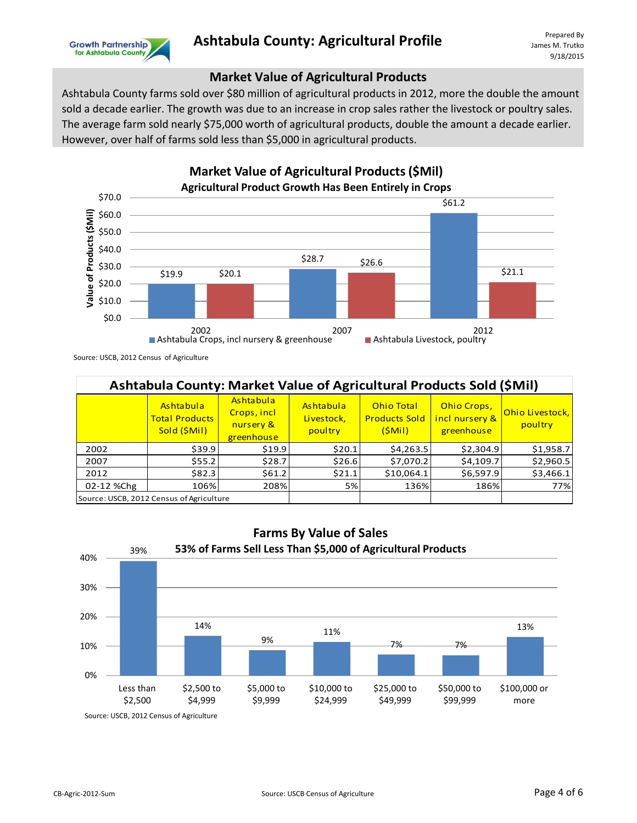

## **Market Value of Agricultural Products**

Ashtabula County farms sold over \$80 million of agricultural products in 2012, more the double the amount sold a decade earlier. The growth was due to an increase in crop sales rather the livestock or poultry sales. The average farm sold nearly \$75,000 worth of agricultural products, double the amount a decade earlier. However, over half of farms sold less than \$5,000 in agricultural products.



Source: USCB, 2012 Census of Agriculture

| Ashtabula County: Market Value of Agricultural Products Sold (\$Mil) |                                                    |                                                     |                                    |                                                     |                                             |                            |  |
|----------------------------------------------------------------------|----------------------------------------------------|-----------------------------------------------------|------------------------------------|-----------------------------------------------------|---------------------------------------------|----------------------------|--|
|                                                                      | Ashtabula<br><b>Total Products</b><br>Sold (\$Mil) | Ashtabula<br>Crops, incl<br>nursery &<br>greenhouse | Ashtabula<br>Livestock,<br>poultry | <b>Ohio Total</b><br><b>Products Sold</b><br>(SMil) | Ohio Crops,<br>incl nursery &<br>greenhouse | Ohio Livestock,<br>poultry |  |
| 2002                                                                 | \$39.9                                             | \$19.9                                              | \$20.1                             | \$4,263.5                                           | \$2,304.9                                   | \$1,958.7                  |  |
| 2007                                                                 | \$55.2                                             | \$28.7                                              | \$26.6                             | \$7,070.2                                           | \$4,109.7                                   | \$2,960.5                  |  |
| 2012                                                                 | \$82.3                                             | \$61.2                                              | \$21.1                             | \$10,064.1                                          | \$6,597.9                                   | \$3,466.1                  |  |
| 02-12 %Chg                                                           | 106%                                               | 208%                                                | 5%                                 | 136%                                                | 186%                                        | 77%                        |  |
|                                                                      | Source: USCB, 2012 Census of Agriculture           |                                                     |                                    |                                                     |                                             |                            |  |

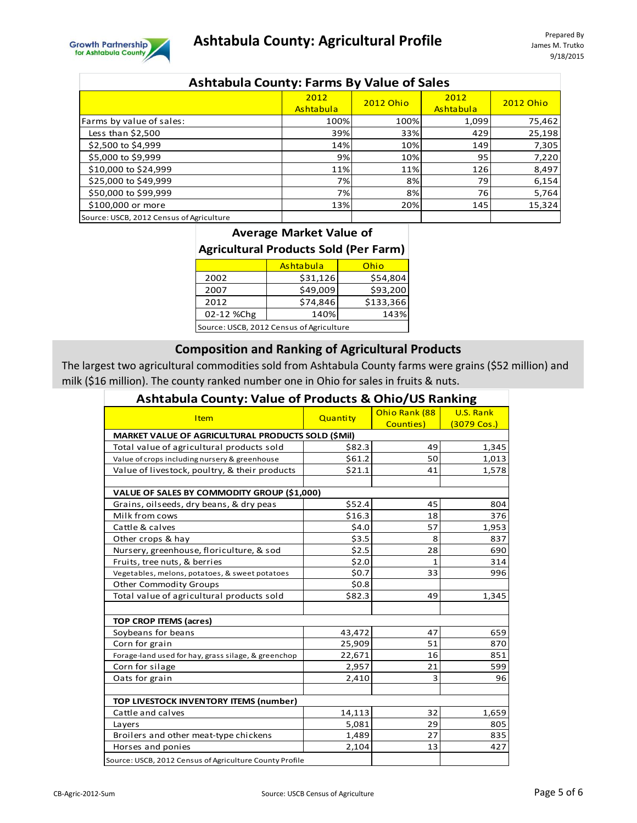

| <b>Ashtabula County: Farms By Value of Sales</b> |                          |           |                          |                  |  |  |
|--------------------------------------------------|--------------------------|-----------|--------------------------|------------------|--|--|
|                                                  | 2012<br><b>Ashtabula</b> | 2012 Ohio | 2012<br><b>Ashtabula</b> | <b>2012 Ohio</b> |  |  |
| Farms by value of sales:                         | 100%                     | 100%      | 1,099                    | 75,462           |  |  |
| Less than \$2,500                                | 39%                      | 33%       | 429                      | 25,198           |  |  |
| \$2,500 to \$4,999                               | 14%                      | 10%       | 149                      | 7,305            |  |  |
| \$5,000 to \$9,999                               | 9%                       | 10%       | 95                       | 7,220            |  |  |
| \$10,000 to \$24,999                             | 11%                      | 11%       | 126                      | 8,497            |  |  |
| \$25,000 to \$49,999                             | 7%                       | 8%        | 79                       | 6,154            |  |  |
| \$50,000 to \$99,999                             | 7%                       | 8%        | 76                       | 5,764            |  |  |
| \$100,000 or more                                | 13%                      | 20%       | 145                      | 15,324           |  |  |
| Source: USCB, 2012 Census of Agriculture         |                          |           |                          |                  |  |  |

#### **Average Market Value of**

## **Agricultural Products Sold (Per Farm)**

|                                          | <b>Ashtabula</b> | Ohio      |  |  |  |
|------------------------------------------|------------------|-----------|--|--|--|
| 2002                                     | \$31,126         | \$54,804  |  |  |  |
| 2007                                     | \$49,009         | \$93,200  |  |  |  |
| 2012                                     | \$74,846         | \$133,366 |  |  |  |
| 140%<br>02-12 %Chg<br>143%               |                  |           |  |  |  |
| Source: USCB, 2012 Census of Agriculture |                  |           |  |  |  |

# **Composition and Ranking of Agricultural Products**

The largest two agricultural commodities sold from Ashtabula County farms were grains (\$52 million) and milk (\$16 million). The county ranked number one in Ohio for sales in fruits & nuts.

| Ashtabula County: Value of Products & Ohio/US Ranking   |          |               |                       |  |  |  |
|---------------------------------------------------------|----------|---------------|-----------------------|--|--|--|
|                                                         |          | Ohio Rank (88 | U.S. Rank             |  |  |  |
| <b>Item</b>                                             | Quantity | Counties)     | $(3079 \text{ Cos.})$ |  |  |  |
| MARKET VALUE OF AGRICULTURAL PRODUCTS SOLD (\$Mil)      |          |               |                       |  |  |  |
| Total value of agricultural products sold               | \$82.3   | 49            | 1,345                 |  |  |  |
| Value of crops including nursery & greenhouse           | \$61.2   | 50            | 1,013                 |  |  |  |
| Value of livestock, poultry, & their products           | \$21.1   | 41            | 1,578                 |  |  |  |
|                                                         |          |               |                       |  |  |  |
| VALUE OF SALES BY COMMODITY GROUP (\$1,000)             |          |               |                       |  |  |  |
| Grains, oilseeds, dry beans, & dry peas                 | \$52.4   | 45            | 804                   |  |  |  |
| Milk from cows                                          | \$16.3   | 18            | 376                   |  |  |  |
| Cattle & calves                                         | \$4.0    | 57            | 1,953                 |  |  |  |
| Other crops & hay                                       | \$3.5    | 8             | 837                   |  |  |  |
| Nursery, greenhouse, floriculture, & sod                | \$2.5    | 28            | 690                   |  |  |  |
| Fruits, tree nuts, & berries                            | \$2.0    | $\mathbf{1}$  | 314                   |  |  |  |
| Vegetables, melons, potatoes, & sweet potatoes          | \$0.7    | 33            | 996                   |  |  |  |
| <b>Other Commodity Groups</b>                           | \$0.8    |               |                       |  |  |  |
| Total value of agricultural products sold               | \$82.3   | 49            | 1,345                 |  |  |  |
|                                                         |          |               |                       |  |  |  |
| <b>TOP CROP ITEMS (acres)</b>                           |          |               |                       |  |  |  |
| Soybeans for beans                                      | 43,472   | 47            | 659                   |  |  |  |
| Corn for grain                                          | 25,909   | 51            | 870                   |  |  |  |
| Forage-land used for hay, grass silage, & greenchop     | 22,671   | 16            | 851                   |  |  |  |
| Corn for silage                                         | 2,957    | 21            | 599                   |  |  |  |
| Oats for grain                                          | 2,410    | 3             | 96                    |  |  |  |
|                                                         |          |               |                       |  |  |  |
| TOP LIVESTOCK INVENTORY ITEMS (number)                  |          |               |                       |  |  |  |
| Cattle and calves                                       | 14,113   | 32            | 1,659                 |  |  |  |
| Layers                                                  | 5,081    | 29            | 805                   |  |  |  |
| Broilers and other meat-type chickens                   | 1,489    | 27            | 835                   |  |  |  |
| Horses and ponies                                       | 2,104    | 13            | 427                   |  |  |  |
| Source: USCB, 2012 Census of Agriculture County Profile |          |               |                       |  |  |  |